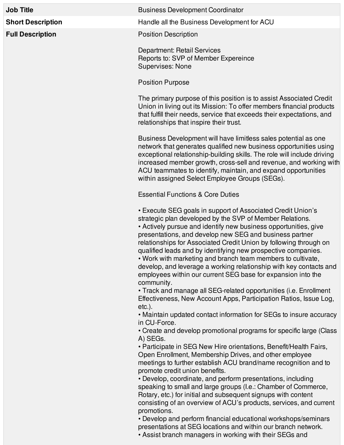**Job Title Business Development Coordinator Business Development Coordinator** 

**Short Description Handle all the Business Development for ACU** 

**Full Description Position** Description

Department: Retail Services Reports to: SVP of Member Expereince Supervises: None

Position Purpose

The primary purpose of this position is to assist Associated Credit Union in living out its Mission: To offer members financial products that fulfill their needs, service that exceeds their expectations, and relationships that inspire their trust.

Business Development will have limitless sales potential as one network that generates qualified new business opportunities using exceptional relationship-building skills. The role will include driving increased member growth, cross-sell and revenue, and working with ACU teammates to identify, maintain, and expand opportunities within assigned Select Employee Groups (SEGs).

Essential Functions & Core Duties

• Execute SEG goals in support of Associated Credit Union's strategic plan developed by the SVP of Member Relations.

• Actively pursue and identify new business opportunities, give presentations, and develop new SEG and business partner relationships for Associated Credit Union by following through on qualified leads and by identifying new prospective companies.

• Work with marketing and branch team members to cultivate, develop, and leverage a working relationship with key contacts and employees within our current SEG base for expansion into the community.

• Track and manage all SEG-related opportunities (i.e. Enrollment Effectiveness, New Account Apps, Participation Ratios, Issue Log, etc.).

• Maintain updated contact information for SEGs to insure accuracy in CU-Force.

• Create and develop promotional programs for specific large (Class A) SEGs.

• Participate in SEG New Hire orientations, Benefit/Health Fairs, Open Enrollment, Membership Drives, and other employee meetings to further establish ACU brand/name recognition and to promote credit union benefits.

• Develop, coordinate, and perform presentations, including speaking to small and large groups (I.e.: Chamber of Commerce, Rotary, etc.) for initial and subsequent signups with content consisting of an overview of ACU's products, services, and current promotions.

• Develop and perform financial educational workshops/seminars presentations at SEG locations and within our branch network.

• Assist branch managers in working with their SEGs and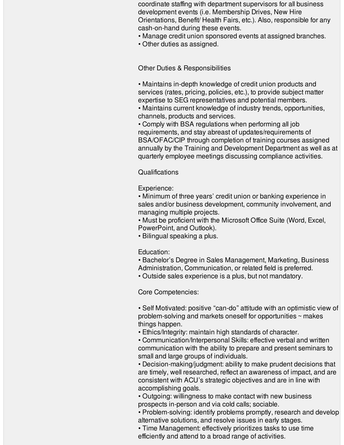coordinate staffing with department supervisors for all business development events (i.e. Membership Drives, New Hire Orientations, Benefit/ Health Fairs, etc.). Also, responsible for any cash-on-hand during these events.

- Manage credit union sponsored events at assigned branches.
- Other duties as assigned.

Other Duties & Responsibilities

• Maintains in-depth knowledge of credit union products and services (rates, pricing, policies, etc.), to provide subject matter expertise to SEG representatives and potential members.

• Maintains current knowledge of industry trends, opportunities, channels, products and services.

• Comply with BSA regulations when performing all job requirements, and stay abreast of updates/requirements of BSA/OFAC/CIP through completion of training courses assigned annually by the Training and Development Department as well as at quarterly employee meetings discussing compliance activities.

## **Qualifications**

## Experience:

• Minimum of three years' credit union or banking experience in sales and/or business development, community involvement, and managing multiple projects.

• Must be proficient with the Microsoft Office Suite (Word, Excel, PowerPoint, and Outlook).

• Bilingual speaking a plus.

## Education:

• Bachelor's Degree in Sales Management, Marketing, Business Administration, Communication, or related field is preferred.

• Outside sales experience is a plus, but not mandatory.

Core Competencies:

• Self Motivated: positive "can-do" attitude with an optimistic view of problem-solving and markets oneself for opportunities ~ makes things happen.

• Ethics/Integrity: maintain high standards of character.

• Communication/Interpersonal Skills: effective verbal and written communication with the ability to prepare and present seminars to small and large groups of individuals.

• Decision-making/judgment: ability to make prudent decisions that are timely, well researched, reflect an awareness of impact, and are consistent with ACU's strategic objectives and are in line with accomplishing goals.

• Outgoing: willingness to make contact with new business prospects in-person and via cold calls; sociable.

• Problem-solving: identify problems promptly, research and develop alternative solutions, and resolve issues in early stages.

• Time Management: effectively prioritizes tasks to use time efficiently and attend to a broad range of activities.